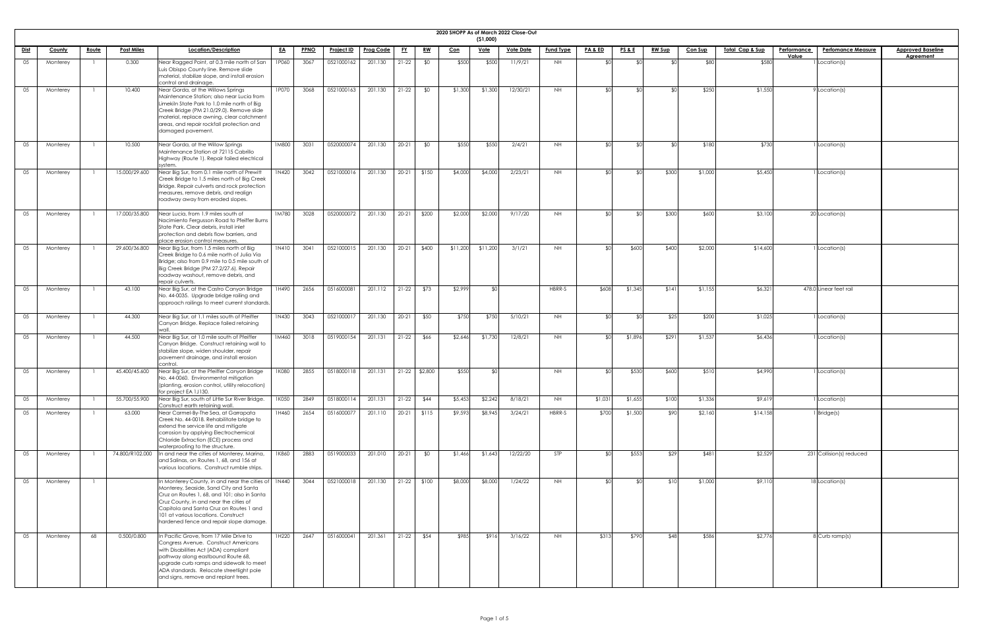|             |          |              |                   |                                                                                                                                                                                                                                                                                                               |           |             |                   |                  |           |                 |            | (51,000)    | 2020 SHOPP As of March 2022 Close-Out |                  |                            |                 |               |                |                            |                    |                           |                          |
|-------------|----------|--------------|-------------------|---------------------------------------------------------------------------------------------------------------------------------------------------------------------------------------------------------------------------------------------------------------------------------------------------------------|-----------|-------------|-------------------|------------------|-----------|-----------------|------------|-------------|---------------------------------------|------------------|----------------------------|-----------------|---------------|----------------|----------------------------|--------------------|---------------------------|--------------------------|
| <u>Dist</u> | County   | <u>Route</u> | <b>Post Miles</b> | Location/Description                                                                                                                                                                                                                                                                                          | <u>EA</u> | <b>PPNO</b> | <b>Project ID</b> | <u>Prog Code</u> | <u>FY</u> | <u>RW</u>       | <u>Con</u> | <u>Vote</u> | <u>Vote Date</u>                      | <b>Fund Type</b> | <b>PA &amp; ED</b>         | <u>PS&amp;E</u> | <u>RW Sup</u> | <b>Con Sup</b> | <u>Total Cap &amp; Sup</u> | <b>Performance</b> | <b>Perfomance Measure</b> | <b>Approved Baseline</b> |
| 05          | Monterey |              | 0.300             | Near Ragged Point, at 0.3 mile north of San                                                                                                                                                                                                                                                                   | 1P060     | 3067        | 0521000162        | 201.130          | $21-22$   | \$0             | \$500      | \$500       | 11/9/21                               | NH               |                            |                 |               | \$80           | \$580                      | Value              | Location(s)               | <b>Agreement</b>         |
|             |          |              |                   | Luis Obispo County line. Remove slide<br>material, stabilize slope, and install erosion<br>control and drainage.                                                                                                                                                                                              |           |             |                   |                  |           |                 |            |             |                                       |                  |                            |                 |               |                |                            |                    |                           |                          |
| 05          | Monterey |              | 10.400            | Near Gorda, at the Willows Springs<br>Maintenance Station; also near Lucia from<br>Limekiln State Park to 1.0 mile north of Big<br>Creek Bridge (PM 21.0/29.0). Remove slide<br>material, replace awning, clear catchment<br>areas, and repair rockfall protection and<br>damaged pavement.                   | 1P070     | 3068        | 0521000163        | 201.130          | $21-22$   | \$0             | \$1,300    | \$1,300     | 12/30/21                              | <b>NH</b>        |                            |                 |               | \$250          | \$1,550                    |                    | Location(s)               |                          |
| 05          | Monterey |              | 10.500            | Near Gorda, at the Willow Springs<br>Maintenance Station at 72115 Cabrillo<br>Highway (Route 1). Repair failed electrical<br>system.                                                                                                                                                                          | 1M800     | 3031        | 0520000074        | 201.130          | $20 - 21$ | \$0             | \$550      | \$550       | 2/4/21                                | NH.              | $\mathbf{d}^{\mathcal{L}}$ | \$ሮ             |               | \$180          | \$730                      |                    | Location(s)               |                          |
| 05          | Monterey |              | 15.000/29.600     | Near Big Sur, from 0.1 mile north of Prewitt<br>Creek Bridge to 1.5 miles north of Big Creek<br>Bridge. Repair culverts and rock protection<br>measures, remove debris, and realign<br>roadway away from eroded slopes.                                                                                       | 1N420     | 3042        | 0521000016        | 201.130          | $20 - 21$ | \$150           | \$4,000    | \$4,000     | 2/23/21                               | NH.              |                            |                 | \$300         | \$1,000        | \$5,450                    |                    | Location(s)               |                          |
| 05          | Monterey |              | 17.000/35.800     | Near Lucia, from 1.9 miles south of<br>Nacimiento Fergusson Road to Pfeiffer Burns<br>State Park. Clear debris, install inlet<br>protection and debris flow barriers, and<br>place erosion control measures.                                                                                                  | 1M780     | 3028        | 0520000072        | 201.130          | $20 - 21$ | \$200           | \$2,000    | \$2,000     | 9/17/20                               | <b>NH</b>        |                            | ΦC              | \$300         | \$600          | \$3,100                    |                    | 20 Location(s)            |                          |
| 05          | Monterey |              | 29.600/36.800     | Near Big Sur, from 1.5 miles north of Big<br>Creek Bridge to 0.6 mile north of Julia Via<br>Bridge; also from 0.9 mile to 0.5 mile south of<br>Big Creek Bridge (PM 27.2/27.6). Repair<br>roadway washout, remove debris, and<br>repair culverts.                                                             | 1N410     | 3041        | 0521000015        | 201.130          | $20 - 21$ | \$400           | \$11,200   | \$11,200    | 3/1/21                                | NH               |                            | \$600           | \$400         | \$2,000        | \$14,600                   |                    | Location(s)               |                          |
| 05          | Monterey |              | 43.100            | Near Big Sur, at the Castro Canyon Bridge<br>No. 44-0035. Upgrade bridge railing and<br>approach railings to meet current standards.                                                                                                                                                                          | 1H490     | 2656        | 0516000081        | 201.112          | $21-22$   | \$73            | \$2,999    | ላ የ         |                                       | HBRR-S           | \$608                      | \$1,345         | \$141         | \$1,155        | \$6,321                    |                    | 478.0 Linear feet rail    |                          |
| 05          | Monterey |              | 44.300            | Near Big Sur, at 1.1 miles south of Pfeiffer<br>Canyon Bridge. Replace failed retaining                                                                                                                                                                                                                       | 1N430     | 3043        | 0521000017        | 201.130          | $20 - 21$ | \$50            | \$750      | \$750       | 5/10/21                               | <b>NH</b>        |                            | ΦC              | \$25          | \$200          | \$1,025                    |                    | Location(s)               |                          |
| 05          | Monterey |              | 44.500            | Near Big Sur, at 1.0 mile south of Pfeiffer<br>Canyon Bridge. Construct retaining wall to<br>stabilize slope, widen shoulder, repair<br>pavement drainage, and install erosion<br>control.                                                                                                                    | 1M460     | 3018        | 0519000154        | 201.131          | $21-22$   | \$66            | \$2,646    | \$1,730     | 12/8/21                               | NH.              |                            | \$1,896         | \$291         | \$1,537        | \$6,436                    |                    | Location(s)               |                          |
| 05          | Monterey |              | 45.400/45.600     | Near Big Sur, at the Pfeiffer Canyon Bridge<br>No. 44-0060. Environmental mitigation<br>(planting, erosion control, utility relocation)<br>for project EA 1J130.                                                                                                                                              | 1K080     | 2855        | 0518000118        | 201.131          |           | $21-22$ \$2,800 | \$550      | .  የ        |                                       | NH               |                            | \$530           | \$600         | \$510          | \$4,990                    |                    | Location(s)               |                          |
| 05          | Monterey |              | 55.700/55.900     | Near Big Sur, south of Little Sur River Bridge.<br>Construct earth retaining wall.                                                                                                                                                                                                                            | 1K050     | 2849        | 0518000114        | 201.131          | $21-22$   | \$44            | \$5,453    | \$2,242     | 8/18/21                               | NH               | \$1,031                    | \$1,655         | \$100         | \$1,336        | \$9,619                    |                    | Location(s)               |                          |
| 05          | Monterey |              | 63.000            | Near Carmel-By-The Sea, at Garrapata<br>Creek No. 44-0018. Rehabilitate bridge to<br>extend the service life and mitigate<br>corrosion by applying Electrochemical<br>Chloride Extraction (ECE) process and<br>waterproofing to the structure.                                                                | 1H460     | 2654        | 0516000077        | 201.110          | $20 - 21$ | \$115           | \$9,593    | \$8,945     | 3/24/21                               | HBRR-S           | \$700                      | \$1,500         | \$90          | \$2,160        | \$14,158                   |                    | Bridge(s)                 |                          |
| 05          | Monterey |              | 74.800/R102.000   | In and near the cities of Monterey, Marina,<br>and Salinas, on Routes 1, 68, and 156 at<br>various locations. Construct rumble strips.                                                                                                                                                                        | 1K860     | 2883        | 0519000033        | 201.010          | $20 - 21$ | \$0             | \$1,466    | \$1,643     | 12/22/20                              | STP              |                            | \$553           | \$29          | \$481          | \$2,529                    |                    | 231 Collision(s) reduced  |                          |
| 05          | Monterey |              |                   | n Monterey County, in and near the cities of<br>Monterey, Seaside, Sand City and Santa<br>Cruz on Routes 1, 68, and 101; also in Santa<br>Cruz County, in and near the cities of<br>Capitola and Santa Cruz on Routes 1 and<br>101 at various locations. Construct<br>hardened fence and repair slope damage. | 1N440     | 3044        | 0521000018        | 201.130          | $21 - 22$ | \$100           | \$8,000    | \$8,000     | 1/24/22                               | NH               |                            |                 | \$10          | \$1,000        | \$9,110                    |                    | 18 Location(s)            |                          |
| 05          | Monterey | 68           | 0.500/0.800       | In Pacific Grove, from 17 Mile Drive to<br>Congress Avenue. Construct Americans<br>with Disabilities Act (ADA) compliant<br>pathway along eastbound Route 68,<br>upgrade curb ramps and sidewalk to meet<br>ADA standards. Relocate streetlight pole<br>and signs, remove and replant trees.                  | 1H220     | 2647        | 0516000041        | 201.361          | $21 - 22$ | \$54            | \$985      | \$916       | 3/16/22                               | <b>NH</b>        | \$313                      | \$790           | \$48          | \$586          | \$2,776                    |                    | 8 Curb ramp(s)            |                          |

| <u>d Baseline</u><br>ement |
|----------------------------|
|                            |
|                            |
|                            |
|                            |
|                            |
|                            |
|                            |
|                            |
|                            |
|                            |
|                            |
|                            |
|                            |
|                            |
|                            |
|                            |
|                            |
|                            |
|                            |
|                            |
|                            |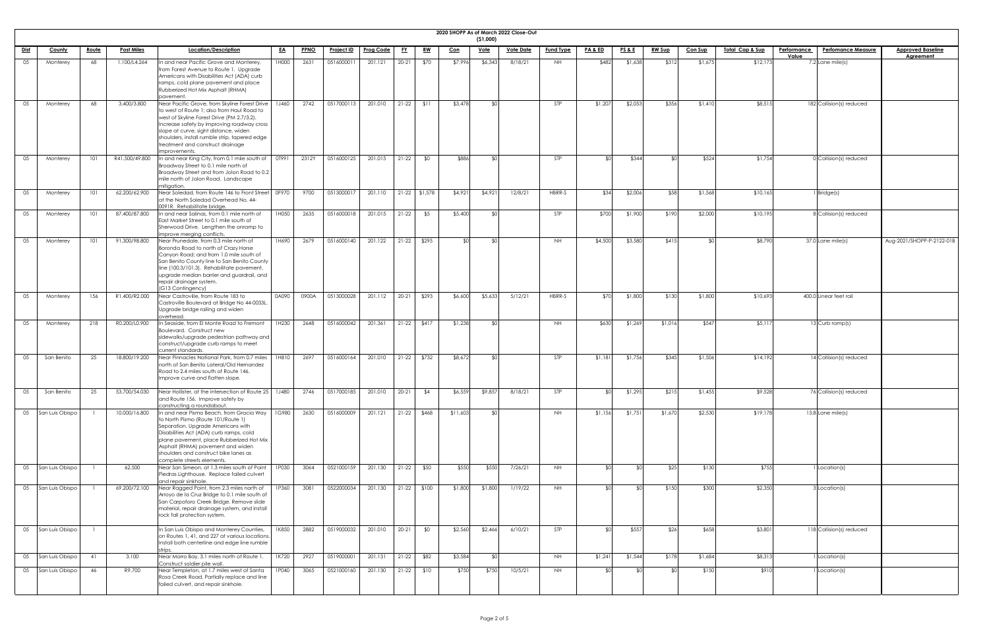| <b>2020 SHOPE</b> |  |
|-------------------|--|

|             |                 |              |                   |                                                                                                                                                                                                                                                                                                                                        |              |             |                   |                  |           |                 |            | (51,000)    | 2020 SHOPP As of March 2022 Close-Out |                  |                    |                 |               |                |                 |                    |                           |                           |
|-------------|-----------------|--------------|-------------------|----------------------------------------------------------------------------------------------------------------------------------------------------------------------------------------------------------------------------------------------------------------------------------------------------------------------------------------|--------------|-------------|-------------------|------------------|-----------|-----------------|------------|-------------|---------------------------------------|------------------|--------------------|-----------------|---------------|----------------|-----------------|--------------------|---------------------------|---------------------------|
| <u>Dist</u> | <b>County</b>   | <u>Route</u> | <b>Post Miles</b> | Location/Description                                                                                                                                                                                                                                                                                                                   | <u>EA</u>    | <b>PPNO</b> | <u>Project ID</u> | <b>Prog Code</b> | <u>FY</u> | <u>RW</u>       | <u>Con</u> | <u>Vote</u> | <b>Vote Date</b>                      | <b>Fund Type</b> | <b>PA &amp; ED</b> | <b>PS&amp;E</b> | <b>RW Sup</b> | <b>Con Sup</b> | Total Cap & Sup | <b>Performance</b> | <b>Perfomance Measure</b> | <b>Approved Baseline</b>  |
|             |                 |              |                   |                                                                                                                                                                                                                                                                                                                                        |              |             |                   |                  |           |                 |            |             |                                       |                  |                    |                 |               |                |                 | Value              |                           | <b>Agreement</b>          |
| 05          | Monterey        | 68           | 1.100/L4.264      | In and near Pacific Grove and Monterey,<br>from Forest Avenue to Route 1. Upgrade<br>Americans with Disabilities Act (ADA) curb<br>ramps, cold plane pavement and place<br>Rubberized Hot Mix Asphalt (RHMA)<br>pavement.                                                                                                              | 1H000        | 2631        | 051600001         | 201.121          | $20 - 21$ | \$70            | \$7,996    | \$6,34      | 8/18/21                               | NH               | \$482              | \$1,638         | \$312         | \$1,675        | \$12,173        |                    | $7.2$ Lane mile(s)        |                           |
| 05          | Monterey        | 68           | 3.400/3.800       | Near Pacific Grove, from Skyline Forest Drive<br>to west of Route 1; also from Haul Road to<br>west of Skyline Forest Drive (PM 2.7/3.2).<br>Increase safety by improving roadway cross<br>slope at curve, sight distance, widen<br>shoulders, install rumble strip, tapered edge<br>treatment and construct drainage<br>improvements. | <b>1J460</b> | 2742        | 0517000113        | 201.010          | $21-22$   | \$11            | \$3,478    |             |                                       | STP              | \$1,207            | \$2,053         | \$356         | \$1,41         | \$8,515         |                    | 182 Collision(s) reduced  |                           |
| 05          | Monterey        | 101          | R41.500/49.800    | In and near King City, from 0.1 mile south of<br>Broadway Street to 0.1 mile north of<br>Broadway Street and from Jolon Road to 0.2<br>mile north of Jolon Road. Landscape<br>mitigation.                                                                                                                                              | OT991        | 2312Y       | 0516000125        | 201.015          | $21-22$   | \$0             | \$88       |             |                                       | <b>STP</b>       | ¢Λ                 | \$344           |               | \$52           | \$1,754         |                    | 0 Collision(s) reduced    |                           |
| 05          | Monterey        | 101          | 62.200/62.900     | Near Soledad, from Route 146 to Front Street<br>at the North Soledad Overhead No. 44-<br>0091R. Rehabilitate bridge.                                                                                                                                                                                                                   | OF970        | 9700        | 0513000017        | 201.110          |           | $21-22$ \$1,578 | \$4,92     | \$4,921     | 12/8/21                               | HBRR-S           | \$34               | \$2,006         | \$58          | \$1,568        | \$10,165        |                    | $1$ Bridge $(s)$          |                           |
| 05          | Monterey        | 101          | 87.400/87.800     | In and near Salinas, from 0.1 mile north of<br>East Market Street to 0.1 mile south of<br>Sherwood Drive. Lengthen the onramp to<br>improve merging conflicts.                                                                                                                                                                         | 1H050        | 2635        | 0516000018        | 201.015          | $21-22$   | \$5             | \$5,400    |             |                                       | STP              | \$700              | \$1,900         | \$190         | \$2,000        | \$10,195        |                    | 8 Collision(s) reduced    |                           |
| 05          | Monterey        | 101          | 91.300/98.800     | Near Prunedale, from 0.3 mile north of<br>Boronda Road to north of Crazy Horse<br>Canyon Road; and from 1.0 mile south of<br>San Benito County line to San Benito County<br>line (100.3/101.3). Rehabilitate pavement,<br>upgrade median barrier and guardrail, and<br>repair drainage system.<br>(G13 Contingency)                    | 1H690        | 2679        | 0516000140        | 201.122          | $21-22$   | \$295           |            |             |                                       | NH.              | \$4,500            | \$3,580         | \$415         |                | \$8,790         |                    | 37.0 Lane mile(s)         | Aug-2021/SHOPP-P-2122-01B |
| 05          | Monterey        | 156          | R1.400/R2.000     | Near Castroville, from Route 183 to<br>Castroville Boulevard at Bridge No 44-0033L.<br>Upgrade bridge railing and widen<br>overhead.                                                                                                                                                                                                   | 0A090        | 0900A       | 0513000028        | 201.112          | $20-21$   | \$293           | \$6,600    | \$5,633     | 5/12/21                               | HBRR-S           | \$70               | \$1,800         | \$130         | \$1,800        | \$10,693        |                    | 400.0 Linear feet rail    |                           |
| 05          | Monterey        | 218          | R0.200/L0.900     | In Seaside, from El Monte Road to Fremont<br>Boulevard. Construct new<br>sidewalks/upgrade pedestrian pathway and<br>construct/upgrade curb ramps to meet<br>current standards.                                                                                                                                                        | 1H230        | 2648        | 0516000042        | 201.361          | $21-22$   | \$417           | \$1,238    |             |                                       | <b>NH</b>        | \$630              | \$1,269         | \$1,016       | \$547          | \$5,117         |                    | 13 Curb ramp(s)           |                           |
| 05          | San Benito      | 25           | 18.800/19.200     | Near Pinnacles National Park, from 0.7 miles<br>north of San Benito Lateral/Old Hernandez<br>Road to 2.4 miles south of Route 146.<br>Improve curve and flatten slope.                                                                                                                                                                 | 1H810        | 2697        | 0516000164        | 201.010          | $21-22$   | \$732           | \$8,672    |             |                                       | STP              | \$1,181            | \$1,756         | \$345         | \$1,506        | \$14,192        |                    | 14 Collision(s) reduced   |                           |
| 05          | San Benito      | 25           | 53.700/54.030     | Near Hollister, at the intersection of Route 25   1J480<br>and Route 156. Improve safety by<br>constructing a roundabout.                                                                                                                                                                                                              |              | 2746        | 0517000185        | 201.010          | $20 - 21$ | \$4             | \$6,55     | \$9,85      | 8/18/21                               | <b>STP</b>       | ROL.               | \$1,295         | \$215         | \$1,455        | \$9,528         |                    | 76 Collision(s) reduced   |                           |
| 05          | San Luis Obispo |              | 10.000/16.800     | In and near Pismo Beach, from Gracia Way<br>to North Pismo (Route 101/Route 1)<br>Separation. Upgrade Americans with<br>Disabilities Act (ADA) curb ramps, cold<br>plane pavement, place Rubberized Hot Mix<br>Asphalt (RHMA) pavement and widen<br>shoulders and construct bike lanes as<br>complete streets elements.                | <b>1G980</b> | 2630        | 0516000009        | 201.121          | $21-22$   | \$468           | \$11,603   |             |                                       | NH               | \$1,156            | \$1,751         | \$1,670       | \$2,530        | \$19,178        |                    | 13.8 Lane mile(s)         |                           |
| 05          | San Luis Obispo |              | 62.500            | Near San Simeon, at 1.3 miles south of Point<br>Piedras Lighthouse. Replace failed culvert<br>and repair sinkhole.                                                                                                                                                                                                                     | 1P030        | 3064        | 0521000159        | 201.130          | $21-22$   | \$50            | \$550      | \$550       | 7/26/21                               | NH.              | ¢Λ                 |                 | \$25          | \$130          | \$755           |                    | 1 Location(s)             |                           |
| 05          | San Luis Obispo |              | 69.200/72.100     | Near Ragged Point, from 2.3 miles north of<br>Arroyo de la Cruz Bridge to 0.1 mile south of<br>San Carpoforo Creek Bridge. Remove slide<br>material, repair drainage system, and install<br>rock fall protection system.                                                                                                               | 1P360        | 3081        | 0522000034        | 201.130          | $21-22$   | \$100           | \$1,800    | \$1,800     | 1/19/22                               | NH.              | \$0                |                 | \$150         | \$300          | \$2,350         |                    | B Location(s)             |                           |
| 05          | San Luis Obispo |              |                   | In San Luis Obispo and Monterey Counties,<br>on Routes 1, 41, and 227 at various locations.<br>Install both centerline and edge line rumble<br>trips.                                                                                                                                                                                  | 1K850        | 2882        | 0519000032        | 201.010          | $20-21$   | \$0             | \$2,560    | \$2,466     | 6/10/21                               | <b>STP</b>       | ¶∩\$               | \$557           | \$26          | \$658          | \$3,801         |                    | 118 Collision(s) reduced  |                           |
| 05          | San Luis Obispo | 41           | 3.100             | Near Morro Bay, 3.1 miles north of Route 1.<br>Construct soldier pile wall.                                                                                                                                                                                                                                                            | 1K720        | 2927        | 0519000001        | 201.131          | $21-22$   | \$82            | \$3,584    |             |                                       | <b>NH</b>        | \$1,241            | \$1,544         | \$178         | \$1,684        | \$8,313         |                    | Location(s)               |                           |
| 05          | San Luis Obispo | 46           | R9.700            | Near Templeton, at 1.7 miles west of Santa<br>Rosa Creek Road. Partially replace and line<br>failed culvert, and repair sinkhole.                                                                                                                                                                                                      | 1P040        | 3065        | 0521000160        | 201.130          |           | $21-22$ \$10    | \$750      | \$750       | 10/5/21                               | NH               | ¶∩\$               |                 | ו∩≱           | \$150          | \$910           |                    | 1 Location(s)             |                           |

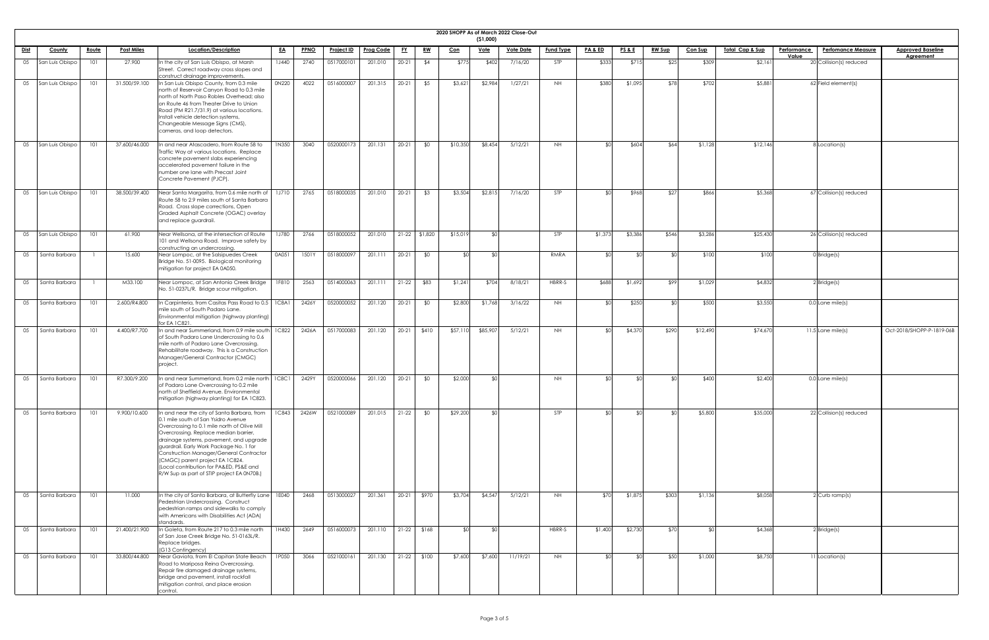|             |                 |              |                   |                                                                                                                                                                                                                                                                                                                                                                                                                                          |              |             |                   |                  |           |               |            |                 | 2020 SHOPP As of March 2022 Close-Out |                  |                    |                 |               |                |                             |                                          |                           |
|-------------|-----------------|--------------|-------------------|------------------------------------------------------------------------------------------------------------------------------------------------------------------------------------------------------------------------------------------------------------------------------------------------------------------------------------------------------------------------------------------------------------------------------------------|--------------|-------------|-------------------|------------------|-----------|---------------|------------|-----------------|---------------------------------------|------------------|--------------------|-----------------|---------------|----------------|-----------------------------|------------------------------------------|---------------------------|
|             |                 |              | <b>Post Miles</b> | Location/Description                                                                                                                                                                                                                                                                                                                                                                                                                     |              |             | <u>Project ID</u> | <b>Prog Code</b> |           | <u>RW</u>     |            | ( \$1,000)      | <b>Vote Date</b>                      | <b>Fund Type</b> | <b>PA &amp; ED</b> | <b>PS&amp;E</b> | <b>RW Sup</b> | <b>Con Sup</b> | <u> Total Cap &amp; Sup</u> | Performance<br><b>Perfomance Measure</b> | <b>Approved Baseline</b>  |
| <u>Dist</u> | County          | <u>Route</u> |                   |                                                                                                                                                                                                                                                                                                                                                                                                                                          | <u>EA</u>    | <b>PPNO</b> |                   |                  | <u>FY</u> |               | <u>Con</u> | <u>Vote</u>     |                                       |                  |                    |                 |               |                |                             | Value                                    | <b>Agreement</b>          |
| 05          | San Luis Obispo | 101          | 27.900            | In the city of San Luis Obispo, at Marsh<br>Street. Correct roadway cross slopes and<br>construct drainage improvements.                                                                                                                                                                                                                                                                                                                 | <b>1J440</b> | 2740        | 0517000101        | 201.010          | $20 - 21$ | \$4           | \$775      | \$402           | 7/16/20                               | STP              | \$333              | \$715           | \$25          | \$309          | \$2,16                      | $20$ Collision(s) reduced                |                           |
| 05          | San Luis Obispo | 101          | 31.500/59.100     | In San Luis Obispo County, from 0.3 mile<br>north of Reservoir Canyon Road to 0.3 mile<br>Inorth of North Paso Robles Overhead; also<br>on Route 46 from Theater Drive to Union<br>Road (PM R21.7/31.9) at various locations.<br>Install vehicle detection systems,<br>Changeable Message Signs (CMS),<br>cameras, and loop detectors.                                                                                                   | 0N220        | 4022        | 0516000007        | 201.315          | $20 - 21$ | \$5           | \$3,621    | \$2,984         | 1/27/21                               | <b>NH</b>        | \$380              | \$1,095         | \$78          | \$702          | \$5,881                     | $62$ Field element(s)                    |                           |
| 05          | San Luis Obispo | 101          | 37.600/46.000     | In and near Atascadero, from Route 58 to<br>Traffic Way at various locations. Replace<br>concrete pavement slabs experiencing<br>accelerated pavement failure in the<br>number one lane with Precast Joint<br>Concrete Pavement (PJCP).                                                                                                                                                                                                  | 1N350        | 3040        | 0520000173        | 201.131          | $20 - 21$ | \$0           | \$10,350   | \$8,454         | 5/12/21                               | NH               | י∩\$               | \$604           | \$64          | \$1,128        | \$12,146                    | <b>I</b> Location(s)                     |                           |
| 05          | San Luis Obispo | 101          | 38.500/39.400     | Near Santa Margarita, from 0.6 mile north of<br>Route 58 to 2.9 miles south of Santa Barbara<br>Road. Cross slope corrections, Open<br>Graded Asphalt Concrete (OGAC) overlay<br>and replace guardrail.                                                                                                                                                                                                                                  | 1J710        | 2765        | 0518000035        | 201.010          | $20 - 21$ | \$3           | \$3,504    | \$2,815         | 7/16/20                               | STP              | י∩ר                | \$968           | \$27          | \$866          | \$5,368                     | $67$ Collision(s) reduced                |                           |
| 05          | San Luis Obispo | 101          | 61.900            | Near Wellsona, at the intersection of Route<br>101 and Wellsona Road. Improve safety by<br>constructing an undercrossing.                                                                                                                                                                                                                                                                                                                | 1J780        | 2766        | 0518000052        | 201.010          |           | 21-22 \$1,820 | \$15,019   | SO <sub>1</sub> |                                       | <b>STP</b>       | \$1,373            | \$3,386         | \$546         | \$3,286        | \$25,430                    | $26$ Collision(s) reduced                |                           |
| 05          | Santa Barbara   |              | 15.600            | Near Lompoc, at the Salsipuedes Creek<br>Bridge No. 51-0095. Biological monitoring<br>mitigation for project EA 0A050.                                                                                                                                                                                                                                                                                                                   | 0A051        | 1501Y       | 0518000097        | 201.111          | $20 - 21$ | \$0           |            |                 |                                       | RMRA             | ו∩≯                |                 | \$∩           | \$100          | \$100                       | $0$ Bridge(s)                            |                           |
| 05          | Santa Barbara   |              | M33.100           | Near Lompoc, at San Antonio Creek Bridge<br>No. 51-0237L/R. Bridge scour mitigation.                                                                                                                                                                                                                                                                                                                                                     | 1F810        | 2563        | 0514000063        | 201.111          | $21-22$   | \$83          | \$1,241    | \$704           | 8/18/21                               | HBRR-S           | \$688              | \$1,692         | \$99          | \$1,029        | \$4,832                     | $2$ Bridge(s)                            |                           |
| 05          | Santa Barbara   | 101          | 2.600/R4.800      | In Carpinteria, from Casitas Pass Road to 0.5   1C8A1<br>mile south of South Padaro Lane.<br>Environmental mitigation (highway planting)<br>for EA 1C821.                                                                                                                                                                                                                                                                                |              | 2426Y       | 0520000052        | 201.120          | $20-21$   | \$0           | \$2,800    | \$1,768         | 3/16/22                               | NH.              | SO <sub>1</sub>    | \$250           | ¶∩\$          | \$500          | \$3,550                     | $0.0$ Lane mile(s)                       |                           |
| 05          | Santa Barbara   | 101          | 4.400/R7.700      | In and near Summerland, from 0.9 mile south<br>of South Padaro Lane Undercrossing to 0.6<br>mile north of Padaro Lane Overcrossing.<br>Rehabilitate roadway. This is a Construction<br>Manager/General Contractor (CMGC)<br>project.                                                                                                                                                                                                     | 1C822        | 2426A       | 0517000083        | 201.120          | $20-21$   | \$410         | \$57,11    | \$85,907        | 5/12/21                               | NH               | SO <sub>1</sub>    | \$4,370         | \$290         | \$12,490       | \$74,670                    | $11.5$ Lane mile(s)                      | Oct-2018/SHOPP-P-1819-06B |
| 05          | Santa Barbara   | 101          | R7.300/9.200      | In and near Summerland, from 0.2 mile north $\mid$ 1C8C1<br>of Padaro Lane Overcrossing to 0.2 mile<br>north of Sheffield Avenue. Environmental<br>mitigation (highway planting) for EA 1C823.                                                                                                                                                                                                                                           |              | 2429Y       | 0520000066        | 201.120          | $20 - 21$ | \$0           | \$2,000    | ያ የ             |                                       | NH               | ¢Λ                 |                 | SOI           | \$400          | \$2,400                     | $0.0$ Lane mile(s)                       |                           |
| 05          | Santa Barbara   | 101          | 9.900/10.600      | In and near the city of Santa Barbara, from<br>0.1 mile south of San Ysidro Avenue<br>Overcrossing to 0.1 mile north of Olive Mill<br>Overcrossing. Replace median barrier,<br>drainage systems, pavement, and upgrade<br>guardrail. Early Work Package No. 1 for<br>Construction Manager/General Contractor<br>(CMGC) parent project EA 1C824.<br>(Local contribution for PA&ED, PS&E and<br>R/W Sup as part of STIP project EA 0N70B.) | <b>1C843</b> | 2426W       | 0521000089        | 201.015          | $21-22$   | \$0           | \$29,200   | י∩\$            |                                       | <b>STP</b>       | ≮∩∣                |                 | ו∩⊅           | \$5,800        | \$35,000                    | 22 Collision(s) reduced                  |                           |
| 05          | Santa Barbara   | 101          | 11.000            | In the city of Santa Barbara, at Butterfly Lane   1E040<br>Pedestrian Undercrossing. Construct<br>pedestrian ramps and sidewalks to comply<br>with Americans with Disabilities Act (ADA)<br>standards.                                                                                                                                                                                                                                   |              | 2468        | 0513000027        | 201.361          |           | 20-21 \$970   | \$3,704    | \$4,547         | 5/12/21                               | NH.              |                    | \$1,875         | \$303         | \$1,136        | \$8,058                     | 2 Curb ramp(s)                           |                           |
| 05          | Santa Barbara   | 101          | 21.400/21.900     | In Goleta, from Route 217 to 0.3 mile north<br>of San Jose Creek Bridge No. 51-0163L/R.<br>Replace bridges.<br>(G13 Contingency)                                                                                                                                                                                                                                                                                                         | 1H430        | 2649        | 0516000073        | 201.110          |           | $21-22$ \$168 |            | SO.             |                                       | HBRR-S           | \$1,400            | \$2,730         | \$70          | ደ∩∣            | \$4,368                     | $2$ <i>Bridge(s)</i>                     |                           |
| 05          | Santa Barbara   | 101          | 33.800/44.800     | Near Gaviota, from El Capitan State Beach<br>Road to Mariposa Reina Overcrossing.<br>Repair fire damaged drainage systems,<br>bridge and pavement, install rockfall<br>mitigation control, and place erosion<br>control.                                                                                                                                                                                                                 | 1P050        | 3066        | 0521000161        | 201.130          |           | $21-22$ \$100 | \$7,600    | \$7,600         | 11/19/21                              | NH               | ¢Λ                 |                 | \$50          | \$1,000        | \$8,750                     | 1 Location(s)                            |                           |

| eline<br>$\frac{1}{1}$ |               |
|------------------------|---------------|
|                        |               |
|                        |               |
|                        |               |
|                        |               |
|                        |               |
|                        |               |
|                        |               |
|                        |               |
|                        |               |
|                        |               |
|                        |               |
|                        |               |
|                        |               |
|                        |               |
|                        |               |
|                        |               |
|                        | $-1819 - 06B$ |
|                        |               |
|                        |               |
|                        |               |
|                        |               |
|                        |               |
|                        |               |
|                        |               |
|                        |               |
|                        |               |
|                        |               |
|                        |               |
|                        |               |
|                        |               |
|                        |               |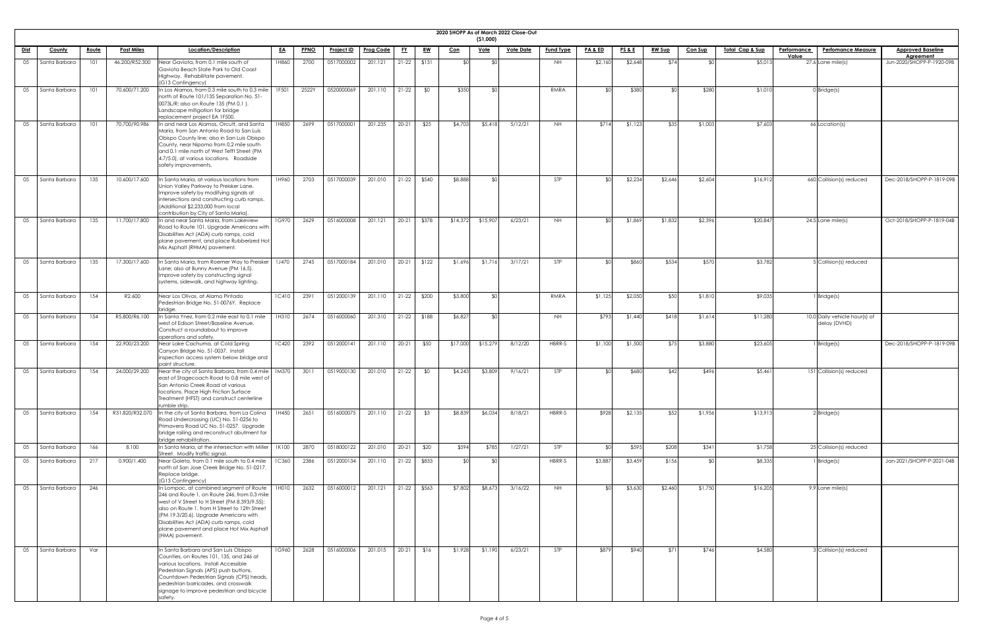|             |               |              |                   |                                                                                                                                                                                                                                                                                                                                               |              |             |                   |                         |           |           |          | (51,000)    | 2020 SHOPP As of March 2022 Close-Out |                  |                    |                 |               |                |                            |             |                                               |                                        |
|-------------|---------------|--------------|-------------------|-----------------------------------------------------------------------------------------------------------------------------------------------------------------------------------------------------------------------------------------------------------------------------------------------------------------------------------------------|--------------|-------------|-------------------|-------------------------|-----------|-----------|----------|-------------|---------------------------------------|------------------|--------------------|-----------------|---------------|----------------|----------------------------|-------------|-----------------------------------------------|----------------------------------------|
| <u>Dist</u> | <b>County</b> | <u>Route</u> | <b>Post Miles</b> | Location/Description                                                                                                                                                                                                                                                                                                                          | <u>EA</u>    | <b>PPNO</b> | <b>Project ID</b> | <b>Prog Code</b>        | <u>FY</u> | <u>RW</u> | Con      | <u>Vote</u> | <b>Vote Date</b>                      | <b>Fund Type</b> | <u>PA &amp; ED</u> | <b>PS&amp;E</b> | <b>RW Sup</b> | <b>Con Sup</b> | <u>Total Cap &amp; Sup</u> | Performance | <b>Perfomance Measure</b>                     | <b>Approved Baseline</b>               |
| 05          | Santa Barbara | 101          | 46.200/R52.300    | Near Gaviota, from 0.1 mile south of                                                                                                                                                                                                                                                                                                          | 1H860        | 2700        | 0517000002        | 201.121                 | $21-22$   | \$131     |          |             |                                       | NH.              | \$2,160            | \$2,648         | \$74          |                | \$5,013                    | Value       | $27.6$ Lane mile(s)                           | Agreement<br>Jun-2020/SHOPP-P-1920-09B |
|             |               |              |                   | Gaviota Beach State Park to Old Coast<br>Highway. Rehabilitate pavement.<br>(G13 Contingency)                                                                                                                                                                                                                                                 |              |             |                   |                         |           |           |          |             |                                       |                  |                    |                 |               |                |                            |             |                                               |                                        |
| 05          | Santa Barbara | 101          | 70.600/71.200     | In Los Alamos, from 0.3 mile south to 0.3 mile<br>north of Route 101/135 Separation No. 51-<br>0073L/R; also on Route 135 (PM 0.1).<br>Landscape mitigation for bridge                                                                                                                                                                        | 1F501        | 2522Y       | 0520000069        | 201.110                 | $21-22$   | \$0       | \$35C    |             |                                       | RMRA             | \$∩                | \$380           | ו∩≯           | \$280          | \$1,010                    |             | $0$ Bridge(s)                                 |                                        |
| 05          | Santa Barbara | 101          | 70.700/90.986     | replacement project EA 1F500.<br>In and near Los Alamos, Orcutt, and Santa<br>Maria, from San Antonio Road to San Luis<br>Obispo County line; also in San Luis Obispo<br>County, near Nipomo from 0.2 mile south<br>and 0.1 mile north of West Tefft Street (PM<br>4.7/5.0), at various locations. Roadside<br>safety improvements.           | 1H850        | 2699        | 0517000001        | 201.235                 | $20 - 21$ | \$25      | \$4,70   | \$5,41      | 5/12/21                               | NH.              | \$714              | \$1,123         | \$35          | \$1,00         | \$7,603                    |             | 66 Location(s)                                |                                        |
| 05          | Santa Barbara | 135          | 10.600/17.600     | In Santa Maria, at various locations from<br>Union Valley Parkway to Preisker Lane.<br>Improve safety by modifying signals at<br>intersections and constructing curb ramps.<br>(Additional \$2,233,000 from local<br>contribution by City of Santa Maria).                                                                                    | 1H960        | 2703        | 0517000039        | 201.010                 | $21-22$   | \$540     | \$8,888  |             |                                       | STP              | ו∩≯                | \$2,234         | \$2,646       | \$2,604        | \$16,912                   |             | 660 Collision(s) reduced                      | Dec-2018/SHOPP-P-1819-09B              |
| 05          | Santa Barbara | 135          | 11.700/17.800     | In and near Santa Maria, from Lakeview<br>Road to Route 101. Upgrade Americans with<br>Disabilities Act (ADA) curb ramps, cold<br>plane pavement, and place Rubberized Hot<br>Mix Asphalt (RHMA) pavement.                                                                                                                                    | 1G970        | 2629        | 0516000008        | 201.121                 | $20 - 21$ | \$378     | \$14,372 | \$15,90     | 6/23/21                               | NH.              | \$∩                | \$1,869         | \$1,832       | \$2,396        | \$20,847                   |             | $24.5$ Lane mile(s)                           | Oct-2018/SHOPP-P-1819-04B              |
| 05          | Santa Barbara | 135          | 17.300/17.600     | In Santa Maria, from Roemer Way to Preisker   1J470<br>Lane; also at Bunny Avenue (PM 16.5).<br>Improve safety by constructing signal<br>systems, sidewalk, and highway lighting.                                                                                                                                                             |              | 2745        | 0517000184        | 201.010   20-21   \$122 |           |           | \$1,696  | \$1,716     | 3/17/21                               |                  |                    | \$86(           | \$534         |                | \$3,782                    |             | 5 Collision(s) reduced                        |                                        |
| 05          | Santa Barbara | 154          | R2.600            | Near Los Olivos, at Alamo Pintado<br>Pedestrian Bridge No. 51-0076Y. Replace<br>bridae                                                                                                                                                                                                                                                        | <b>1C410</b> | 2391        | 0512000139        | 201.110                 | $21-22$   | \$200     | \$3,800  |             |                                       | RMRA             | \$1,125            | \$2,050         | \$50          | \$1,810        | \$9,035                    |             | I Bridge(s)                                   |                                        |
| 05          | Santa Barbara | 154          | R5.800/R6.100     | n Santa Ynez, from 0.2 mile east to 0.1 mile<br>west of Edison Street/Baseline Avenue.<br>Construct a roundabout to improve<br>operations and safety.                                                                                                                                                                                         | 1H310        | 2674        | 0516000060        | 201.310                 | $21-22$   | \$188     | \$6,827  |             |                                       | NH.              | \$793              | \$1,440         | \$418         | \$1,614        | \$11,280                   |             | 10.0 Daily vehicle hour(s) of<br>delay (DVHD) |                                        |
| 05          | Santa Barbara | 154          | 22.900/23.200     | Near Lake Cachuma, at Cold Spring<br>Canyon Bridge No. 51-0037. Install<br>inspection access system below bridge and<br>paint structure.                                                                                                                                                                                                      | <b>1C420</b> | 2392        | 0512000141        | 201.110                 | $20 - 21$ | \$50      | \$17,000 | \$15,27     | 8/12/20                               | HBRR-S           | \$1,100            | \$1,500         | \$75          | \$3,880        | \$23,605                   |             | 1 Bridge(s)                                   | Dec-2018/SHOPP-P-1819-09B              |
| 05          | Santa Barbara | 154          | 24.000/29.200     | Near the city of Santa Barbara, from 0.4 mile   1M370<br>east of Stagecoach Road to 0.8 mile west of<br>San Antonio Creek Road at various<br>locations. Place High Friction Surface<br>Treatment (HFST) and construct centerline<br>rumble strip.                                                                                             |              | 3011        | 0519000130        | 201.010                 | $21-22$   | \$0       | \$4,243  | \$3,809     | 9/16/21                               | <b>STP</b>       |                    | \$680           | \$42          | \$496          | \$5,461                    |             | 151 Collision(s) reduced                      |                                        |
| 05          | Santa Barbara | 154          | R31.820/R32.070   | In the city of Santa Barbara, from La Colina<br>Road Undercrossing (UC) No. 51-0256 to<br>Primavera Road UC No. 51-0257. Upgrade<br>bridge railing and reconstruct abutment for<br>bridge rehabilitation.                                                                                                                                     | 1H450        | 2651        | 0516000075        | 201.110                 | $21-22$   | \$3       | \$8,839  | \$6,03      | 8/18/21                               | HBRR-S           | \$928              | \$2,135         | \$52          | \$1,956        | \$13,913                   |             | $2$ <i>Bridge(s)</i>                          |                                        |
| 05          | Santa Barbara | 166          | 8.100             | In Santa Maria, at the intersection with Miller<br>Street. Modify traffic signal.                                                                                                                                                                                                                                                             | 1K100        | 2870        | 0518000122        | 201.010                 | $20 - 21$ | \$20      | \$594    | \$785       | 1/27/21                               | <b>STP</b>       |                    | \$595           | \$208         | \$341          | \$1,758                    |             | 25 Collision(s) reduced                       |                                        |
| 05          | Santa Barbara | 217          | 0.900/1.400       | Near Goleta, from 0.1 mile south to 0.4 mile<br>north of San Jose Creek Bridge No. 51-0217<br>Replace bridge.<br>(G13 Contingency)                                                                                                                                                                                                            | <b>1C360</b> | 2386        | 0512000134        | 201.110                 | $21-22$   | \$833     |          |             |                                       | HBRR-S           | \$3,887            | \$3,459         | \$156         |                | \$8,335                    |             | 1 Bridge(s)                                   | Jan-2021/SHOPP-P-2021-04B              |
| 05          | Santa Barbara | 246          |                   | In Lompoc, at combined segment of Route<br>246 and Route 1, on Route 246, from 0.3 mile<br>west of V Street to H Street (PM 8.393/9.55);<br>also on Route 1, from H Street to 12th Street<br>(PM 19.3/20.6). Upgrade Americans with<br>Disabilities Act (ADA) curb ramps, cold<br>plane pavement and place Hot Mix Asphalt<br>(HMA) pavement. | 1H010        | 2632        | 0516000012        | 201.121                 | $21-22$   | \$563     | \$7,802  | \$8,673     | 3/16/22                               | NH.              | SO <sub>1</sub>    | \$3,630         | \$2,460       | \$1,750        | \$16,205                   |             | 9.9 Lane mile(s)                              |                                        |
| 05          | Santa Barbara | Var          |                   | In Santa Barbara and San Luis Obispo<br>Counties, on Routes 101, 135, and 246 at<br>various locations. Install Accessible<br>Pedestrian Signals (APS) push buttons,<br>Countdown Pedestrian Signals (CPS) heads,<br>pedestrian barricades, and crosswalk<br>signage to improve pedestrian and bicycle<br>safety.                              | 1G960        | 2628        | 0516000006        | 201.015                 | $20-21$   | \$16      | \$1,928  | \$1,190     | 6/23/21                               | STP              | \$879              | \$940           | \$71]         | \$746          | \$4,580                    |             | 3 Collision(s) reduced                        |                                        |